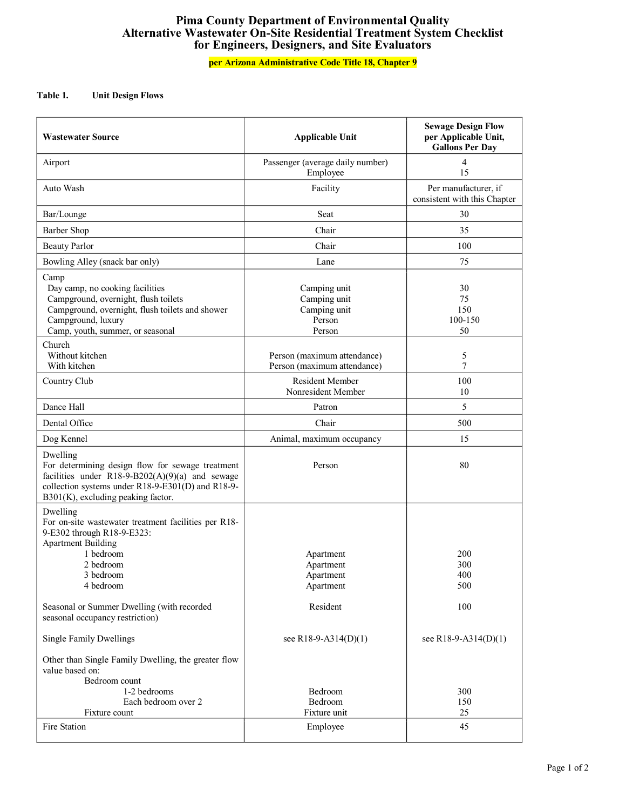## **Pima County Department of Environmental Quality Alternative Wastewater OnSite Residential Treatment System Checklist for Engineers, Designers, and Site Evaluators**

## **per Arizona Administrative Code Title 18, Chapter 9**

## **Table 1. Unit Design Flows**

| <b>Wastewater Source</b>                                                                                                                                                                                   | <b>Applicable Unit</b>                                           | <b>Sewage Design Flow</b><br>per Applicable Unit,<br><b>Gallons Per Day</b> |
|------------------------------------------------------------------------------------------------------------------------------------------------------------------------------------------------------------|------------------------------------------------------------------|-----------------------------------------------------------------------------|
| Airport                                                                                                                                                                                                    | Passenger (average daily number)<br>Employee                     | 4<br>15                                                                     |
| Auto Wash                                                                                                                                                                                                  | Facility                                                         | Per manufacturer, if<br>consistent with this Chapter                        |
| Bar/Lounge                                                                                                                                                                                                 | Seat                                                             | 30                                                                          |
| <b>Barber Shop</b>                                                                                                                                                                                         | Chair                                                            | 35                                                                          |
| <b>Beauty Parlor</b>                                                                                                                                                                                       | Chair                                                            | 100                                                                         |
| Bowling Alley (snack bar only)                                                                                                                                                                             | Lane                                                             | 75                                                                          |
| Camp<br>Day camp, no cooking facilities<br>Campground, overnight, flush toilets<br>Campground, overnight, flush toilets and shower<br>Campground, luxury<br>Camp, youth, summer, or seasonal               | Camping unit<br>Camping unit<br>Camping unit<br>Person<br>Person | 30<br>75<br>150<br>100-150<br>50                                            |
| Church<br>Without kitchen<br>With kitchen                                                                                                                                                                  | Person (maximum attendance)<br>Person (maximum attendance)       | 5<br>$\overline{7}$                                                         |
| Country Club                                                                                                                                                                                               | <b>Resident Member</b><br>Nonresident Member                     | 100<br>10                                                                   |
| Dance Hall                                                                                                                                                                                                 | Patron                                                           | 5                                                                           |
| Dental Office                                                                                                                                                                                              | Chair                                                            | 500                                                                         |
| Dog Kennel                                                                                                                                                                                                 | Animal, maximum occupancy                                        | 15                                                                          |
| Dwelling<br>For determining design flow for sewage treatment<br>facilities under R18-9-B202(A)(9)(a) and sewage<br>collection systems under R18-9-E301(D) and R18-9-<br>B301(K), excluding peaking factor. | Person                                                           | 80                                                                          |
| Dwelling<br>For on-site wastewater treatment facilities per R18-<br>9-E302 through R18-9-E323:<br><b>Apartment Building</b><br>1 bedroom<br>2 bedroom<br>3 bedroom<br>4 bedroom                            | Apartment<br>Apartment<br>Apartment<br>Apartment                 | 200<br>300<br>400<br>500                                                    |
| Seasonal or Summer Dwelling (with recorded<br>seasonal occupancy restriction)                                                                                                                              | Resident                                                         | 100                                                                         |
| <b>Single Family Dwellings</b>                                                                                                                                                                             | see R18-9-A314(D)(1)                                             | see R18-9-A314(D)(1)                                                        |
| Other than Single Family Dwelling, the greater flow<br>value based on:<br>Bedroom count<br>1-2 bedrooms<br>Each bedroom over 2<br>Fixture count<br>Fire Station                                            | Bedroom<br>Bedroom<br>Fixture unit<br>Employee                   | 300<br>150<br>25<br>45                                                      |